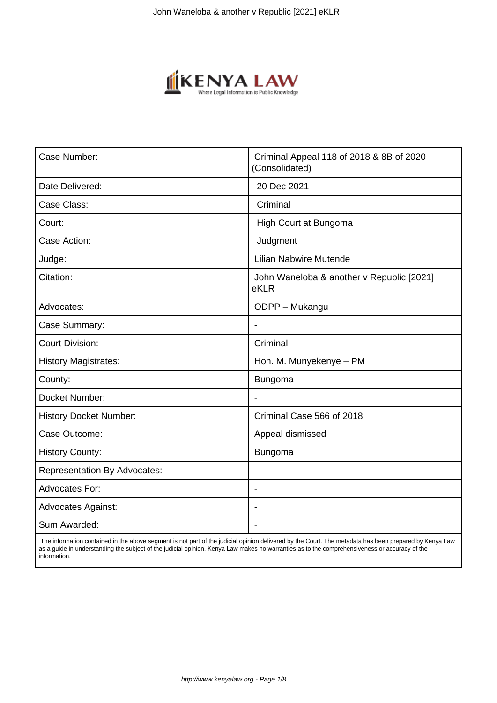

| Case Number:                        | Criminal Appeal 118 of 2018 & 8B of 2020<br>(Consolidated) |
|-------------------------------------|------------------------------------------------------------|
| Date Delivered:                     | 20 Dec 2021                                                |
| Case Class:                         | Criminal                                                   |
| Court:                              | High Court at Bungoma                                      |
| Case Action:                        | Judgment                                                   |
| Judge:                              | <b>Lilian Nabwire Mutende</b>                              |
| Citation:                           | John Waneloba & another v Republic [2021]<br>eKLR          |
| Advocates:                          | ODPP - Mukangu                                             |
| Case Summary:                       | $\blacksquare$                                             |
| <b>Court Division:</b>              | Criminal                                                   |
| <b>History Magistrates:</b>         | Hon. M. Munyekenye - PM                                    |
| County:                             | <b>Bungoma</b>                                             |
| Docket Number:                      | $\overline{\phantom{a}}$                                   |
| <b>History Docket Number:</b>       | Criminal Case 566 of 2018                                  |
| Case Outcome:                       | Appeal dismissed                                           |
| <b>History County:</b>              | <b>Bungoma</b>                                             |
| <b>Representation By Advocates:</b> | $\overline{\phantom{a}}$                                   |
| <b>Advocates For:</b>               | $\blacksquare$                                             |
| <b>Advocates Against:</b>           |                                                            |
| Sum Awarded:                        | $\overline{\phantom{0}}$                                   |

 The information contained in the above segment is not part of the judicial opinion delivered by the Court. The metadata has been prepared by Kenya Law as a guide in understanding the subject of the judicial opinion. Kenya Law makes no warranties as to the comprehensiveness or accuracy of the information.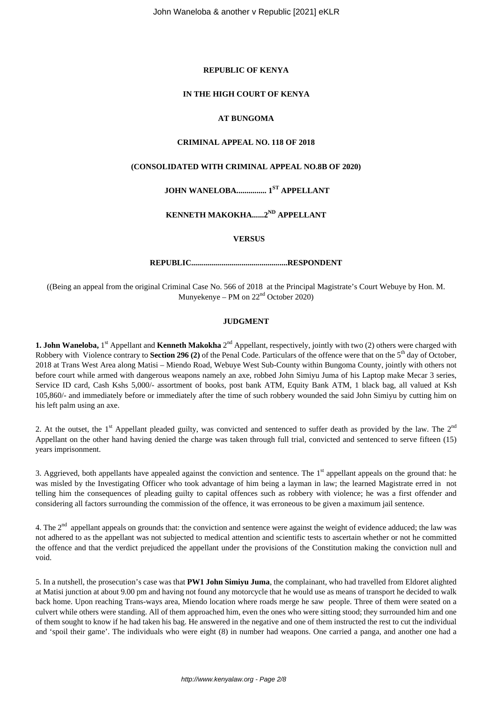#### **REPUBLIC OF KENYA**

#### **IN THE HIGH COURT OF KENYA**

## **AT BUNGOMA**

#### **CRIMINAL APPEAL NO. 118 OF 2018**

#### **(CONSOLIDATED WITH CRIMINAL APPEAL NO.8B OF 2020)**

# **JOHN WANELOBA............... 1ST APPELLANT**

# **KENNETH MAKOKHA......2ND APPELLANT**

#### **VERSUS**

## **REPUBLIC................................................RESPONDENT**

((Being an appeal from the original Criminal Case No. 566 of 2018 at the Principal Magistrate's Court Webuye by Hon. M. Munyekenye – PM on 22nd October 2020)

#### **JUDGMENT**

1. John Waneloba, 1<sup>st</sup> Appellant and Kenneth Makokha 2<sup>nd</sup> Appellant, respectively, jointly with two (2) others were charged with Robbery with Violence contrary to **Section 296 (2)** of the Penal Code. Particulars of the offence were that on the 5<sup>th</sup> day of October, 2018 at Trans West Area along Matisi – Miendo Road, Webuye West Sub-County within Bungoma County, jointly with others not before court while armed with dangerous weapons namely an axe, robbed John Simiyu Juma of his Laptop make Mecar 3 series, Service ID card, Cash Kshs 5,000/- assortment of books, post bank ATM, Equity Bank ATM, 1 black bag, all valued at Ksh 105,860/- and immediately before or immediately after the time of such robbery wounded the said John Simiyu by cutting him on his left palm using an axe.

2. At the outset, the  $1^{\text{st}}$  Appellant pleaded guilty, was convicted and sentenced to suffer death as provided by the law. The  $2^{\text{nd}}$ Appellant on the other hand having denied the charge was taken through full trial, convicted and sentenced to serve fifteen (15) years imprisonment.

3. Aggrieved, both appellants have appealed against the conviction and sentence. The 1<sup>st</sup> appellant appeals on the ground that: he was misled by the Investigating Officer who took advantage of him being a layman in law; the learned Magistrate erred in not telling him the consequences of pleading guilty to capital offences such as robbery with violence; he was a first offender and considering all factors surrounding the commission of the offence, it was erroneous to be given a maximum jail sentence.

4. The  $2<sup>nd</sup>$  appellant appeals on grounds that: the conviction and sentence were against the weight of evidence adduced; the law was not adhered to as the appellant was not subjected to medical attention and scientific tests to ascertain whether or not he committed the offence and that the verdict prejudiced the appellant under the provisions of the Constitution making the conviction null and void.

5. In a nutshell, the prosecution's case was that **PW1 John Simiyu Juma**, the complainant, who had travelled from Eldoret alighted at Matisi junction at about 9.00 pm and having not found any motorcycle that he would use as means of transport he decided to walk back home. Upon reaching Trans-ways area, Miendo location where roads merge he saw people. Three of them were seated on a culvert while others were standing. All of them approached him, even the ones who were sitting stood; they surrounded him and one of them sought to know if he had taken his bag. He answered in the negative and one of them instructed the rest to cut the individual and 'spoil their game'. The individuals who were eight (8) in number had weapons. One carried a panga, and another one had a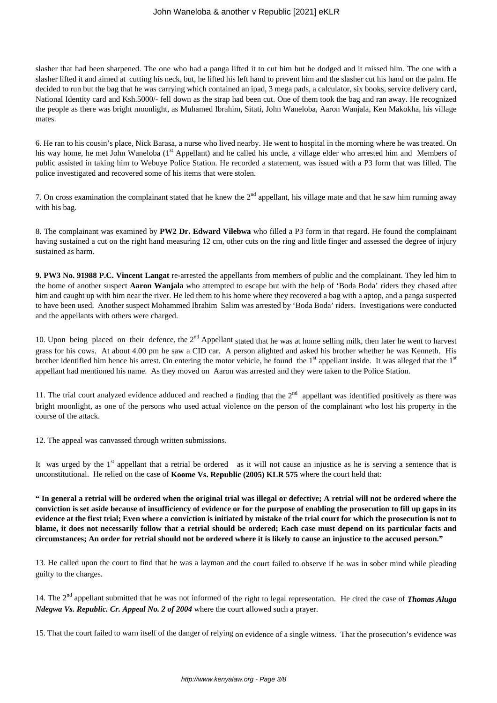slasher that had been sharpened. The one who had a panga lifted it to cut him but he dodged and it missed him. The one with a slasher lifted it and aimed at cutting his neck, but, he lifted his left hand to prevent him and the slasher cut his hand on the palm. He decided to run but the bag that he was carrying which contained an ipad, 3 mega pads, a calculator, six books, service delivery card, National Identity card and Ksh.5000/- fell down as the strap had been cut. One of them took the bag and ran away. He recognized the people as there was bright moonlight, as Muhamed Ibrahim, Sitati, John Waneloba, Aaron Wanjala, Ken Makokha, his village mates.

6. He ran to his cousin's place, Nick Barasa, a nurse who lived nearby. He went to hospital in the morning where he was treated. On his way home, he met John Waneloba (1<sup>st</sup> Appellant) and he called his uncle, a village elder who arrested him and Members of public assisted in taking him to Webuye Police Station. He recorded a statement, was issued with a P3 form that was filled. The police investigated and recovered some of his items that were stolen.

7. On cross examination the complainant stated that he knew the  $2<sup>nd</sup>$  appellant, his village mate and that he saw him running away with his bag.

8. The complainant was examined by **PW2 Dr. Edward Vilebwa** who filled a P3 form in that regard. He found the complainant having sustained a cut on the right hand measuring 12 cm, other cuts on the ring and little finger and assessed the degree of injury sustained as harm.

**9. PW3 No. 91988 P.C. Vincent Langat** re-arrested the appellants from members of public and the complainant. They led him to the home of another suspect **Aaron Wanjala** who attempted to escape but with the help of 'Boda Boda' riders they chased after him and caught up with him near the river. He led them to his home where they recovered a bag with a aptop, and a panga suspected to have been used. Another suspect Mohammed Ibrahim Salim was arrested by 'Boda Boda' riders. Investigations were conducted and the appellants with others were charged.

10. Upon being placed on their defence, the  $2<sup>nd</sup>$  Appellant stated that he was at home selling milk, then later he went to harvest grass for his cows. At about 4.00 pm he saw a CID car. A person alighted and asked his brother whether he was Kenneth. His brother identified him hence his arrest. On entering the motor vehicle, he found the  $1<sup>st</sup>$  appellant inside. It was alleged that the  $1<sup>st</sup>$ appellant had mentioned his name. As they moved on Aaron was arrested and they were taken to the Police Station.

11. The trial court analyzed evidence adduced and reached a finding that the  $2<sup>nd</sup>$  appellant was identified positively as there was bright moonlight, as one of the persons who used actual violence on the person of the complainant who lost his property in the course of the attack.

12. The appeal was canvassed through written submissions.

It was urged by the  $1<sup>st</sup>$  appellant that a retrial be ordered as it will not cause an injustice as he is serving a sentence that is unconstitutional. He relied on the case of **Koome Vs. Republic (2005) KLR 575** where the court held that:

**" In general a retrial will be ordered when the original trial was illegal or defective; A retrial will not be ordered where the conviction is set aside because of insufficiency of evidence or for the purpose of enabling the prosecution to fill up gaps in its evidence at the first trial; Even where a conviction is initiated by mistake of the trial court for which the prosecution is not to blame, it does not necessarily follow that a retrial should be ordered; Each case must depend on its particular facts and circumstances; An order for retrial should not be ordered where it is likely to cause an injustice to the accused person."**

13. He called upon the court to find that he was a layman and the court failed to observe if he was in sober mind while pleading guilty to the charges.

14. The 2nd appellant submitted that he was not informed of the right to legal representation. He cited the case of *Thomas Aluga Ndegwa Vs. Republic. Cr. Appeal No. 2 of 2004* where the court allowed such a prayer.

15. That the court failed to warn itself of the danger of relying on evidence of a single witness. That the prosecution's evidence was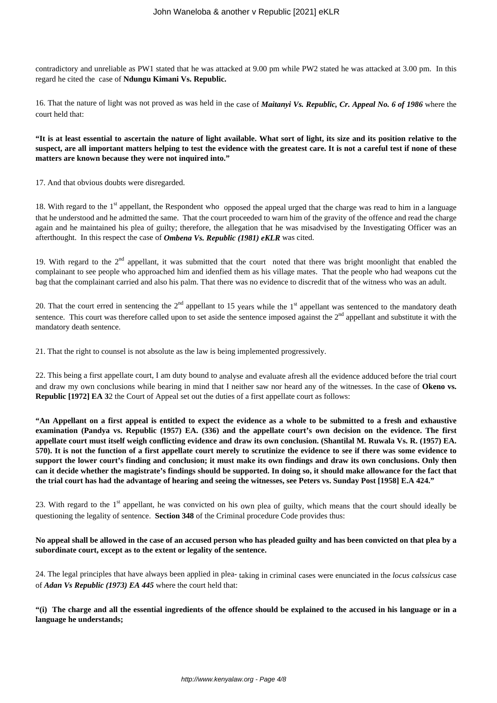contradictory and unreliable as PW1 stated that he was attacked at 9.00 pm while PW2 stated he was attacked at 3.00 pm. In this regard he cited the case of **Ndungu Kimani Vs. Republic.**

16. That the nature of light was not proved as was held in the case of *Maitanyi Vs. Republic, Cr. Appeal No. 6 of 1986* where the court held that:

**"It is at least essential to ascertain the nature of light available. What sort of light, its size and its position relative to the suspect, are all important matters helping to test the evidence with the greatest care. It is not a careful test if none of these matters are known because they were not inquired into."**

17. And that obvious doubts were disregarded.

18. With regard to the 1<sup>st</sup> appellant, the Respondent who opposed the appeal urged that the charge was read to him in a language that he understood and he admitted the same. That the court proceeded to warn him of the gravity of the offence and read the charge again and he maintained his plea of guilty; therefore, the allegation that he was misadvised by the Investigating Officer was an afterthought. In this respect the case of *Ombena Vs. Republic (1981) eKLR* was cited.

19. With regard to the  $2<sup>nd</sup>$  appellant, it was submitted that the court noted that there was bright moonlight that enabled the complainant to see people who approached him and idenfied them as his village mates. That the people who had weapons cut the bag that the complainant carried and also his palm. That there was no evidence to discredit that of the witness who was an adult.

20. That the court erred in sentencing the  $2<sup>nd</sup>$  appellant to 15 years while the 1<sup>st</sup> appellant was sentenced to the mandatory death sentence. This court was therefore called upon to set aside the sentence imposed against the 2<sup>nd</sup> appellant and substitute it with the mandatory death sentence.

21. That the right to counsel is not absolute as the law is being implemented progressively.

22. This being a first appellate court, I am duty bound to analyse and evaluate afresh all the evidence adduced before the trial court and draw my own conclusions while bearing in mind that I neither saw nor heard any of the witnesses. In the case of **Okeno vs. Republic [1972] EA 3**2 the Court of Appeal set out the duties of a first appellate court as follows:

**"An Appellant on a first appeal is entitled to expect the evidence as a whole to be submitted to a fresh and exhaustive examination (Pandya vs. Republic (1957) EA. (336) and the appellate court's own decision on the evidence. The first appellate court must itself weigh conflicting evidence and draw its own conclusion. (Shantilal M. Ruwala Vs. R. (1957) EA. 570). It is not the function of a first appellate court merely to scrutinize the evidence to see if there was some evidence to support the lower court's finding and conclusion; it must make its own findings and draw its own conclusions. Only then can it decide whether the magistrate's findings should be supported. In doing so, it should make allowance for the fact that the trial court has had the advantage of hearing and seeing the witnesses, see Peters vs. Sunday Post [1958] E.A 424."**

23. With regard to the  $1<sup>st</sup>$  appellant, he was convicted on his own plea of guilty, which means that the court should ideally be questioning the legality of sentence. **Section 348** of the Criminal procedure Code provides thus:

## **No appeal shall be allowed in the case of an accused person who has pleaded guilty and has been convicted on that plea by a subordinate court, except as to the extent or legality of the sentence.**

24. The legal principles that have always been applied in plea- taking in criminal cases were enunciated in the *locus calssicus* case of *Adan Vs Republic (1973) EA 445* where the court held that:

**"(i) The charge and all the essential ingredients of the offence should be explained to the accused in his language or in a language he understands;**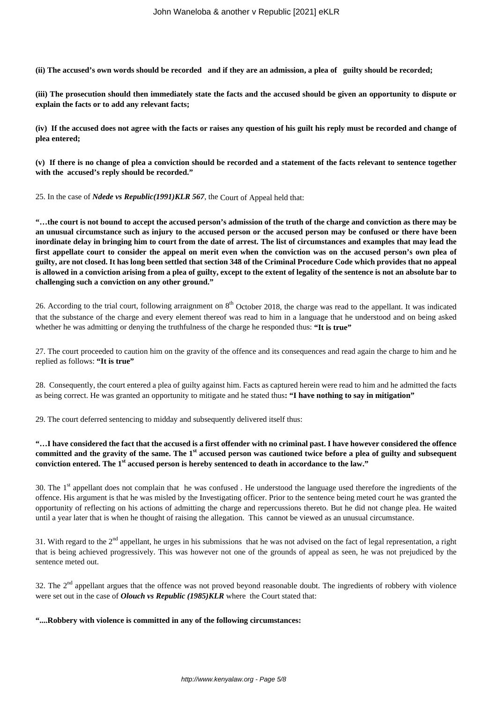**(ii) The accused's own words should be recorded and if they are an admission, a plea of guilty should be recorded;**

**(iii) The prosecution should then immediately state the facts and the accused should be given an opportunity to dispute or explain the facts or to add any relevant facts;**

**(iv) If the accused does not agree with the facts or raises any question of his guilt his reply must be recorded and change of plea entered;**

**(v) If there is no change of plea a conviction should be recorded and a statement of the facts relevant to sentence together with the accused's reply should be recorded."**

25. In the case of *Ndede vs Republic(1991)KLR 567*, the Court of Appeal held that:

**"…the court is not bound to accept the accused person's admission of the truth of the charge and conviction as there may be an unusual circumstance such as injury to the accused person or the accused person may be confused or there have been inordinate delay in bringing him to court from the date of arrest. The list of circumstances and examples that may lead the first appellate court to consider the appeal on merit even when the conviction was on the accused person's own plea of guilty, are not closed. It has long been settled that section 348 of the Criminal Procedure Code which provides that no appeal is allowed in a conviction arising from a plea of guilty, except to the extent of legality of the sentence is not an absolute bar to challenging such a conviction on any other ground."**

26. According to the trial court, following arraignment on  $8<sup>th</sup>$  October 2018, the charge was read to the appellant. It was indicated that the substance of the charge and every element thereof was read to him in a language that he understood and on being asked whether he was admitting or denying the truthfulness of the charge he responded thus: **"It is true"**

27. The court proceeded to caution him on the gravity of the offence and its consequences and read again the charge to him and he replied as follows: **"It is true"**

28. Consequently, the court entered a plea of guilty against him. Facts as captured herein were read to him and he admitted the facts as being correct. He was granted an opportunity to mitigate and he stated thus**: "I have nothing to say in mitigation"**

29. The court deferred sentencing to midday and subsequently delivered itself thus:

## **"…I have considered the fact that the accused is a first offender with no criminal past. I have however considered the offence committed and the gravity of the same. The 1st accused person was cautioned twice before a plea of guilty and subsequent conviction entered. The 1st accused person is hereby sentenced to death in accordance to the law."**

30. The 1<sup>st</sup> appellant does not complain that he was confused. He understood the language used therefore the ingredients of the offence. His argument is that he was misled by the Investigating officer. Prior to the sentence being meted court he was granted the opportunity of reflecting on his actions of admitting the charge and repercussions thereto. But he did not change plea. He waited until a year later that is when he thought of raising the allegation. This cannot be viewed as an unusual circumstance.

31. With regard to the  $2<sup>nd</sup>$  appellant, he urges in his submissions that he was not advised on the fact of legal representation, a right that is being achieved progressively. This was however not one of the grounds of appeal as seen, he was not prejudiced by the sentence meted out.

32. The  $2<sup>nd</sup>$  appellant argues that the offence was not proved beyond reasonable doubt. The ingredients of robbery with violence were set out in the case of *Olouch vs Republic (1985)KLR* where the Court stated that:

**"....Robbery with violence is committed in any of the following circumstances:**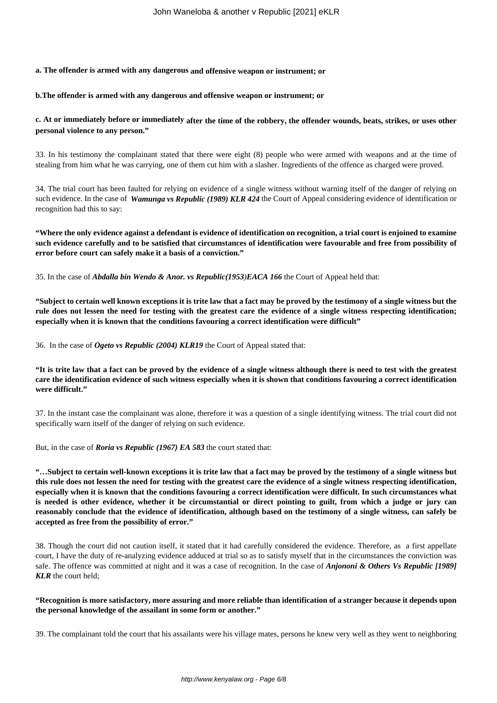# **a. The offender is armed with any dangerous and offensive weapon or instrument; or**

#### **b.The offender is armed with any dangerous and offensive weapon or instrument; or**

## **c. At or immediately before or immediately after the time of the robbery, the offender wounds, beats, strikes, or uses other personal violence to any person."**

33. In his testimony the complainant stated that there were eight (8) people who were armed with weapons and at the time of stealing from him what he was carrying, one of them cut him with a slasher. Ingredients of the offence as charged were proved.

34. The trial court has been faulted for relying on evidence of a single witness without warning itself of the danger of relying on such evidence. In the case of *Wamunga vs Republic (1989) KLR 424* the Court of Appeal considering evidence of identification or recognition had this to say:

**"Where the only evidence against a defendant is evidence of identification on recognition, a trial court is enjoined to examine such evidence carefully and to be satisfied that circumstances of identification were favourable and free from possibility of error before court can safely make it a basis of a conviction."**

35. In the case of *Abdalla bin Wendo & Anor. vs Republic(1953)EACA 166* the Court of Appeal held that:

**"Subject to certain well known exceptions it is trite law that a fact may be proved by the testimony of a single witness but the rule does not lessen the need for testing with the greatest care the evidence of a single witness respecting identification; especially when it is known that the conditions favouring a correct identification were difficult"**

36. In the case of *Ogeto vs Republic (2004) KLR19* the Court of Appeal stated that:

**"It is trite law that a fact can be proved by the evidence of a single witness although there is need to test with the greatest care the identification evidence of such witness especially when it is shown that conditions favouring a correct identification were difficult."** 

37. In the instant case the complainant was alone, therefore it was a question of a single identifying witness. The trial court did not specifically warn itself of the danger of relying on such evidence.

But, in the case of *Roria vs Republic (1967) EA 583* the court stated that:

**"…Subject to certain well-known exceptions it is trite law that a fact may be proved by the testimony of a single witness but this rule does not lessen the need for testing with the greatest care the evidence of a single witness respecting identification, especially when it is known that the conditions favouring a correct identification were difficult. In such circumstances what is needed is other evidence, whether it be circumstantial or direct pointing to guilt, from which a judge or jury can reasonably conclude that the evidence of identification, although based on the testimony of a single witness, can safely be accepted as free from the possibility of error."**

38. Though the court did not caution itself, it stated that it had carefully considered the evidence. Therefore, as a first appellate court, I have the duty of re-analyzing evidence adduced at trial so as to satisfy myself that in the circumstances the conviction was safe. The offence was committed at night and it was a case of recognition. In the case of *Anjononi & Others Vs Republic [1989] KLR* the court held;

### **"Recognition is more satisfactory, more assuring and more reliable than identification of a stranger because it depends upon the personal knowledge of the assailant in some form or another."**

39. The complainant told the court that his assailants were his village mates, persons he knew very well as they went to neighboring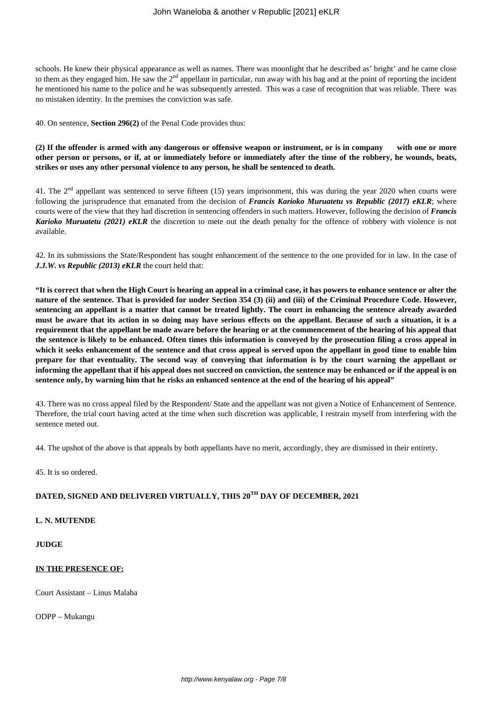schools. He knew their physical appearance as well as names. There was moonlight that he described as' bright' and he came close to them as they engaged him. He saw the 2<sup>nd</sup> appellant in particular, run away with his bag and at the point of reporting the incident he mentioned his name to the police and he was subsequently arrested. This was a case of recognition that was reliable. There was no mistaken identity. In the premises the conviction was safe.

40. On sentence, **Section 296(2)** of the Penal Code provides thus:

**(2) If the offender is armed with any dangerous or offensive weapon or instrument, or is in company with one or more other person or persons, or if, at or immediately before or immediately after the time of the robbery, he wounds, beats, strikes or uses any other personal violence to any person, he shall be sentenced to death.**

41. The  $2<sup>nd</sup>$  appellant was sentenced to serve fifteen (15) years imprisonment, this was during the year 2020 when courts were following the jurisprudence that emanated from the decision of *Francis Karioko Muruatetu vs Republic (2017) eKLR*; where courts were of the view that they had discretion in sentencing offenders in such matters. However, following the decision of *Francis Karioko Muruatetu (2021) eKLR* the discretion to mete out the death penalty for the offence of robbery with violence is not available.

42. In its submissions the State/Respondent has sought enhancement of the sentence to the one provided for in law. In the case of *J.J.W. vs Republic (2013) eKLR* the court held that:

**"It is correct that when the High Court is hearing an appeal in a criminal case, it has powers to enhance sentence or alter the nature of the sentence. That is provided for under Section 354 (3) (ii) and (iii) of the Criminal Procedure Code. However, sentencing an appellant is a matter that cannot be treated lightly. The court in enhancing the sentence already awarded must be aware that its action in so doing may have serious effects on the appellant. Because of such a situation, it is a requirement that the appellant be made aware before the hearing or at the commencement of the hearing of his appeal that the sentence is likely to be enhanced. Often times this information is conveyed by the prosecution filing a cross appeal in which it seeks enhancement of the sentence and that cross appeal is served upon the appellant in good time to enable him prepare for that eventuality. The second way of conveying that information is by the court warning the appellant or informing the appellant that if his appeal does not succeed on conviction, the sentence may be enhanced or if the appeal is on sentence only, by warning him that he risks an enhanced sentence at the end of the hearing of his appeal"**

43. There was no cross appeal filed by the Respondent/ State and the appellant was not given a Notice of Enhancement of Sentence. Therefore, the trial court having acted at the time when such discretion was applicable, I restrain myself from interfering with the sentence meted out.

44. The upshot of the above is that appeals by both appellants have no merit, accordingly, they are dismissed in their entirety.

45. It is so ordered.

## **DATED, SIGNED AND DELIVERED VIRTUALLY, THIS 20TH DAY OF DECEMBER, 2021**

### **L. N. MUTENDE**

## **JUDGE**

### **IN THE PRESENCE OF:**

Court Assistant – Linus Malaba

ODPP – Mukangu